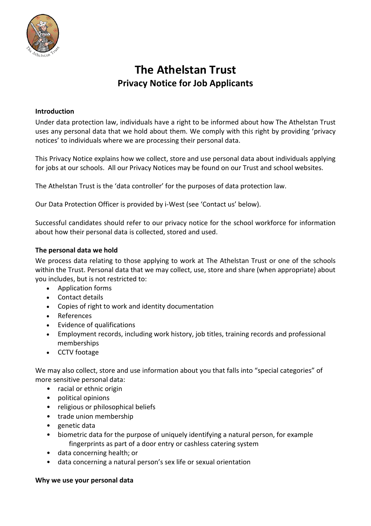

# **The Athelstan Trust Privacy Notice for Job Applicants**

## **Introduction**

Under data protection law, individuals have a right to be informed about how The Athelstan Trust uses any personal data that we hold about them. We comply with this right by providing 'privacy notices' to individuals where we are processing their personal data.

This Privacy Notice explains how we collect, store and use personal data about individuals applying for jobs at our schools. All our Privacy Notices may be found on our Trust and school websites.

The Athelstan Trust is the 'data controller' for the purposes of data protection law.

Our Data Protection Officer is provided by i-West (see 'Contact us' below).

Successful candidates should refer to our privacy notice for the school workforce for information about how their personal data is collected, stored and used.

#### **The personal data we hold**

We process data relating to those applying to work at The Athelstan Trust or one of the schools within the Trust. Personal data that we may collect, use, store and share (when appropriate) about you includes, but is not restricted to:

- Application forms
- Contact details
- Copies of right to work and identity documentation
- References
- Evidence of qualifications
- Employment records, including work history, job titles, training records and professional memberships
- CCTV footage

We may also collect, store and use information about you that falls into "special categories" of more sensitive personal data:

- racial or ethnic origin
- political opinions
- religious or philosophical beliefs
- trade union membership
- genetic data
- biometric data for the purpose of uniquely identifying a natural person, for example fingerprints as part of a door entry or cashless catering system
- data concerning health; or
- data concerning a natural person's sex life or sexual orientation

#### **Why we use your personal data**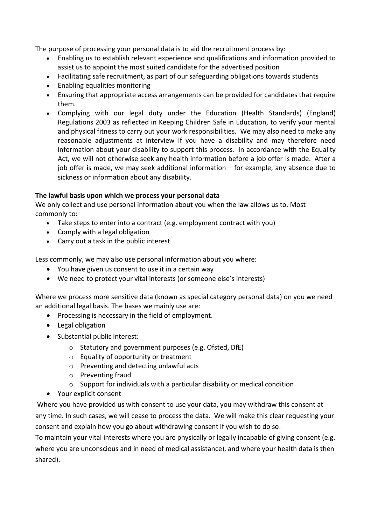The purpose of processing your personal data is to aid the recruitment process by:

- Enabling us to establish relevant experience and qualifications and information provided to assist us to appoint the most suited candidate for the advertised position
- Facilitating safe recruitment, as part of our safeguarding obligations towards students
- Enabling equalities monitoring
- Ensuring that appropriate access arrangements can be provided for candidates that require them.
- Complying with our legal duty under the Education (Health Standards) (England) Regulations 2003 as reflected in Keeping Children Safe in Education, to verify your mental and physical fitness to carry out your work responsibilities. We may also need to make any reasonable adjustments at interview if you have a disability and may therefore need information about your disability to support this process*.* In accordance with the Equality Act, we will not otherwise seek any health information before a job offer is made. After a job offer is made, we may seek additional information – for example, any absence due to sickness or information about any disability.

## **The lawful basis upon which we process your personal data**

We only collect and use personal information about you when the law allows us to. Most commonly to:

- Take steps to enter into a contract (e.g. employment contract with you)
- Comply with a legal obligation
- Carry out a task in the public interest

Less commonly, we may also use personal information about you where:

- You have given us consent to use it in a certain way
- We need to protect your vital interests (or someone else's interests)

Where we process more sensitive data (known as special category personal data) on you we need an additional legal basis. The bases we mainly use are:

- Processing is necessary in the field of employment.
- Legal obligation
- Substantial public interest:
	- o Statutory and government purposes (e.g. Ofsted, DfE)
	- o Equality of opportunity or treatment
	- o Preventing and detecting unlawful acts
	- o Preventing fraud
	- o Support for individuals with a particular disability or medical condition
- Your explicit consent

Where you have provided us with consent to use your data, you may withdraw this consent at any time. In such cases, we will cease to process the data. We will make this clear requesting your consent and explain how you go about withdrawing consent if you wish to do so.

To maintain your vital interests where you are physically or legally incapable of giving consent (e.g. where you are unconscious and in need of medical assistance), and where your health data is then shared).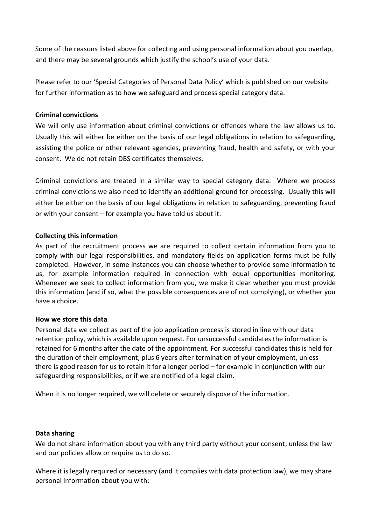Some of the reasons listed above for collecting and using personal information about you overlap, and there may be several grounds which justify the school's use of your data.

Please refer to our 'Special Categories of Personal Data Policy' which is published on our website for further information as to how we safeguard and process special category data.

## **Criminal convictions**

We will only use information about criminal convictions or offences where the law allows us to. Usually this will either be either on the basis of our legal obligations in relation to safeguarding, assisting the police or other relevant agencies, preventing fraud, health and safety, or with your consent. We do not retain DBS certificates themselves.

Criminal convictions are treated in a similar way to special category data. Where we process criminal convictions we also need to identify an additional ground for processing. Usually this will either be either on the basis of our legal obligations in relation to safeguarding, preventing fraud or with your consent – for example you have told us about it.

#### **Collecting this information**

As part of the recruitment process we are required to collect certain information from you to comply with our legal responsibilities, and mandatory fields on application forms must be fully completed. However, in some instances you can choose whether to provide some information to us, for example information required in connection with equal opportunities monitoring. Whenever we seek to collect information from you, we make it clear whether you must provide this information (and if so, what the possible consequences are of not complying), or whether you have a choice.

#### **How we store this data**

Personal data we collect as part of the job application process is stored in line with our data retention policy, which is available upon request. For unsuccessful candidates the information is retained for 6 months after the date of the appointment. For successful candidates this is held for the duration of their employment, plus 6 years after termination of your employment, unless there is good reason for us to retain it for a longer period – for example in conjunction with our safeguarding responsibilities, or if we are notified of a legal claim.

When it is no longer required, we will delete or securely dispose of the information.

#### **Data sharing**

We do not share information about you with any third party without your consent, unless the law and our policies allow or require us to do so.

Where it is legally required or necessary (and it complies with data protection law), we may share personal information about you with: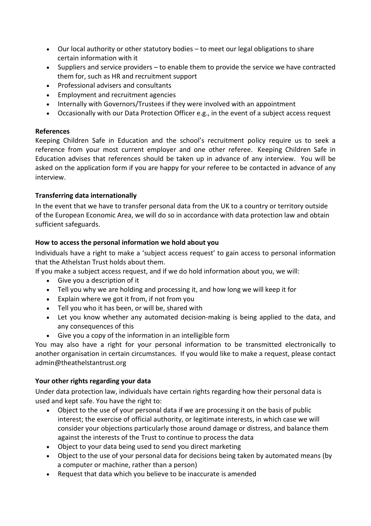- Our local authority or other statutory bodies to meet our legal obligations to share certain information with it
- Suppliers and service providers to enable them to provide the service we have contracted them for, such as HR and recruitment support
- Professional advisers and consultants
- Employment and recruitment agencies
- Internally with Governors/Trustees if they were involved with an appointment
- Occasionally with our Data Protection Officer e.g., in the event of a subject access request

# **References**

Keeping Children Safe in Education and the school's recruitment policy require us to seek a reference from your most current employer and one other referee. Keeping Children Safe in Education advises that references should be taken up in advance of any interview. You will be asked on the application form if you are happy for your referee to be contacted in advance of any interview.

# **Transferring data internationally**

In the event that we have to transfer personal data from the UK to a country or territory outside of the European Economic Area, we will do so in accordance with data protection law and obtain sufficient safeguards.

# **How to access the personal information we hold about you**

Individuals have a right to make a 'subject access request' to gain access to personal information that the Athelstan Trust holds about them.

If you make a subject access request, and if we do hold information about you, we will:

- Give you a description of it
- Tell you why we are holding and processing it, and how long we will keep it for
- Explain where we got it from, if not from you
- Tell you who it has been, or will be, shared with
- Let you know whether any automated decision-making is being applied to the data, and any consequences of this
- Give you a copy of the information in an intelligible form

You may also have a right for your personal information to be transmitted electronically to another organisation in certain circumstances. If you would like to make a request, please contact admin@theathelstantrust.org

# **Your other rights regarding your data**

Under data protection law, individuals have certain rights regarding how their personal data is used and kept safe. You have the right to:

- Object to the use of your personal data if we are processing it on the basis of public interest; the exercise of official authority, or legitimate interests, in which case we will consider your objections particularly those around damage or distress, and balance them against the interests of the Trust to continue to process the data
- Object to your data being used to send you direct marketing
- Object to the use of your personal data for decisions being taken by automated means (by a computer or machine, rather than a person)
- Request that data which you believe to be inaccurate is amended